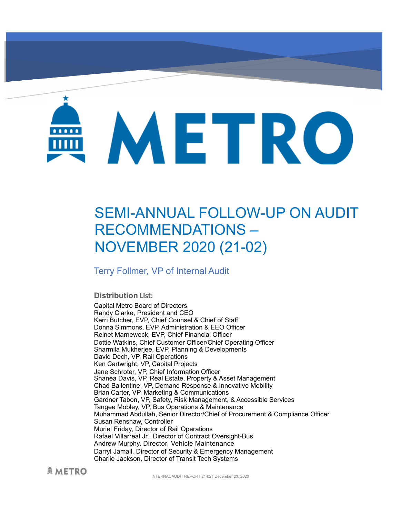# METRO

# SEMI-ANNUAL FOLLOW-UP ON AUDIT RECOMMENDATIONS – NOVEMBER 2020 (21-02)

Terry Follmer, VP of Internal Audit

#### **Distribution List:**

Capital Metro Board of Directors Randy Clarke, President and CEO Kerri Butcher, EVP, Chief Counsel & Chief of Staff Donna Simmons, EVP, Administration & EEO Officer Reinet Marneweck, EVP, Chief Financial Officer Dottie Watkins, Chief Customer Officer/Chief Operating Officer Sharmila Mukherjee, EVP, Planning & Developments David Dech, VP, Rail Operations Ken Cartwright, VP, Capital Projects Jane Schroter, VP, Chief Information Officer Shanea Davis, VP, Real Estate, Property & Asset Management Chad Ballentine, VP, Demand Response & Innovative Mobility Brian Carter, VP, Marketing & Communications Gardner Tabon, VP, Safety, Risk Management, & Accessible Services Tangee Mobley, VP, Bus Operations & Maintenance Muhammad Abdullah, Senior Director/Chief of Procurement & Compliance Officer Susan Renshaw, Controller Muriel Friday, Director of Rail Operations Rafael Villarreal Jr., Director of Contract Oversight-Bus Andrew Murphy, Director, Vehicle Maintenance Darryl Jamail, Director of Security & Emergency Management Charlie Jackson, Director of Transit Tech Systems

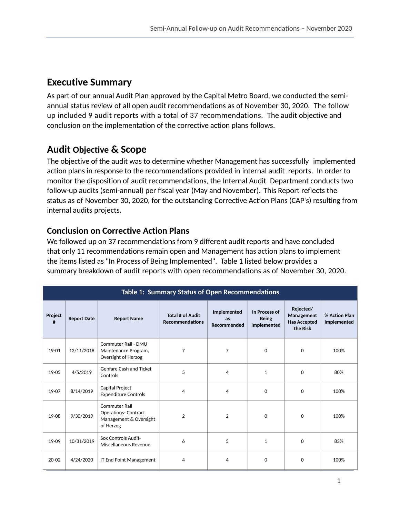# **Executive Summary**

As part of our annual Audit Plan approved by the Capital Metro Board, we conducted the semiannual status review of all open audit recommendations as of November 30, 2020. The follow up included 9 audit reports with a total of 37 recommendations. The audit objective and conclusion on the implementation of the corrective action plans follows.

# **Audit Objective & Scope**

The objective of the audit was to determine whether Management has successfully implemented action plans in response to the recommendations provided in internal audit reports. In order to monitor the disposition of audit recommendations, the Internal Audit Department conducts two follow-up audits (semi-annual) per fiscal year (May and November). This Report reflects the status as of November 30, 2020, for the outstanding Corrective Action Plans (CAP's) resulting from internal audits projects.

## **Conclusion on Corrective Action Plans**

We followed up on 37 recommendations from 9 different audit reports and have concluded that only 11 recommendations remain open and Management has action plans to implement the items listed as "In Process of Being Implemented". Table 1 listed below provides a summary breakdown of audit reports with open recommendations as of November 30, 2020.

| Table 1: Summary Status of Open Recommendations |                    |                                                                                            |                                            |                                  |                                              |                                                            |                              |  |  |  |  |
|-------------------------------------------------|--------------------|--------------------------------------------------------------------------------------------|--------------------------------------------|----------------------------------|----------------------------------------------|------------------------------------------------------------|------------------------------|--|--|--|--|
| Project<br>#                                    | <b>Report Date</b> | <b>Report Name</b>                                                                         | Total # of Audit<br><b>Recommendations</b> | Implemented<br>as<br>Recommended | In Process of<br><b>Being</b><br>Implemented | Rejected/<br>Management<br><b>Has Accepted</b><br>the Risk | % Action Plan<br>Implemented |  |  |  |  |
| 19-01                                           | 12/11/2018         | Commuter Rail - DMU<br>Maintenance Program,<br>Oversight of Herzog                         | $\overline{7}$                             | 7                                | $\Omega$                                     | 0                                                          | 100%                         |  |  |  |  |
| 19-05                                           | 4/5/2019           | Genfare Cash and Ticket<br>Controls                                                        | 5                                          | 4                                | 1                                            | $\Omega$                                                   | 80%                          |  |  |  |  |
| 19-07                                           | 8/14/2019          | Capital Project<br><b>Expenditure Controls</b>                                             | $\overline{4}$                             | 4                                | $\mathbf{0}$                                 | $\Omega$                                                   | 100%                         |  |  |  |  |
| 19-08                                           | 9/30/2019          | <b>Commuter Rail</b><br><b>Operations- Contract</b><br>Management & Oversight<br>of Herzog | $\overline{2}$                             | $\overline{2}$                   | $\Omega$                                     | $\Omega$                                                   | 100%                         |  |  |  |  |
| 19-09                                           | 10/31/2019         | Sox Controls Audit-<br>Miscellaneous Revenue                                               | 6                                          | 5                                | 1                                            | $\Omega$                                                   | 83%                          |  |  |  |  |
| $20 - 02$                                       | 4/24/2020          | <b>IT End Point Management</b>                                                             | $\overline{4}$                             | 4                                | $\Omega$                                     | $\Omega$                                                   | 100%                         |  |  |  |  |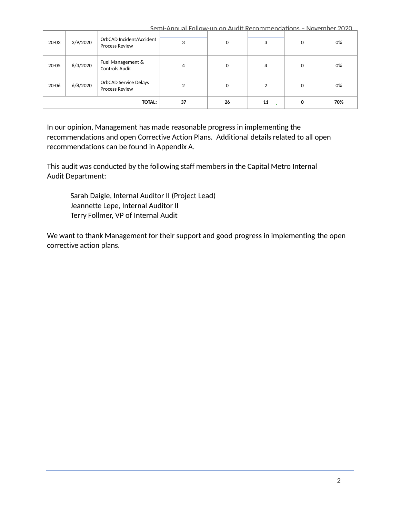Semi-Annual Follow-up on Audit Recommendations - November 2020

| 20-03         | 3/9/2020 | OrbCAD Incident/Accident<br><b>Process Review</b> | 3  | $\mathbf 0$ | 3  | 0 | 0%  |
|---------------|----------|---------------------------------------------------|----|-------------|----|---|-----|
| 20-05         | 8/3/2020 | Fuel Management &<br><b>Controls Audit</b>        | 4  | $\Omega$    | 4  | 0 | 0%  |
| 20-06         | 6/8/2020 | OrbCAD Service Delays<br><b>Process Review</b>    | ◠  | 0           | ↑  | 0 | 0%  |
| <b>TOTAL:</b> |          |                                                   | 37 | 26          | 11 | 0 | 70% |

In our opinion, Management has made reasonable progress in implementing the recommendations and open Corrective Action Plans. Additional details related to all open recommendations can be found in Appendix A.

This audit was conducted by the following staff members in the Capital Metro Internal Audit Department:

Sarah Daigle, Internal Auditor II (Project Lead) Jeannette Lepe, Internal Auditor II Terry Follmer, VP of Internal Audit

We want to thank Management for their support and good progress in implementing the open corrective action plans.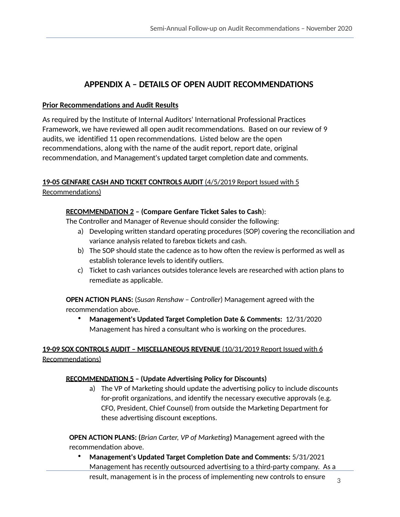### **APPENDIX A – DETAILS OF OPEN AUDIT RECOMMENDATIONS**

#### **Prior Recommendations and Audit Results**

As required by the Institute of Internal Auditors' International Professional Practices Framework, we have reviewed all open audit recommendations. Based on our review of 9 audits, we identified 11 open recommendations. Listed below are the open recommendations, along with the name of the audit report, report date, original recommendation, and Management's updated target completion date and comments.

#### **19-05 GENFARE CASH AND TICKET CONTROLS AUDIT** (4/5/2019 Report Issued with 5 Recommendations)

#### **RECOMMENDATION 2 – (Compare Genfare Ticket Sales to Cash**):

The Controller and Manager of Revenue should consider the following:

- a) Developing written standard operating procedures (SOP) covering the reconciliation and variance analysis related to farebox tickets and cash.
- b) The SOP should state the cadence as to how often the review is performed as well as establish tolerance levels to identify outliers.
- c) Ticket to cash variances outsides tolerance levels are researched with action plans to remediate as applicable.

**OPEN ACTION PLANS:** (*Susan Renshaw – Controller*) Management agreed with the recommendation above.

• **Management's Updated Target Completion Date & Comments:** 12/31/2020 Management has hired a consultant who is working on the procedures.

#### **19-09 SOX CONTROLS AUDIT – MISCELLANEOUS REVENUE** (10/31/2019 Report Issued with 6 Recommendations)

#### **RECOMMENDATION 5 – (Update Advertising Policy for Discounts)**

a) The VP of Marketing should update the advertising policy to include discounts for-profit organizations, and identify the necessary executive approvals (e.g. CFO, President, Chief Counsel) from outside the Marketing Department for these advertising discount exceptions.

**OPEN ACTION PLANS: (***Brian Carter, VP of Marketing***) Management agreed with the** recommendation above.

• **Management's Updated Target CompleBon Date and Comments:** 5/31/2021 Management has recently outsourced advertising to a third-party company. As a result, management is in the process of implementing new controls to ensure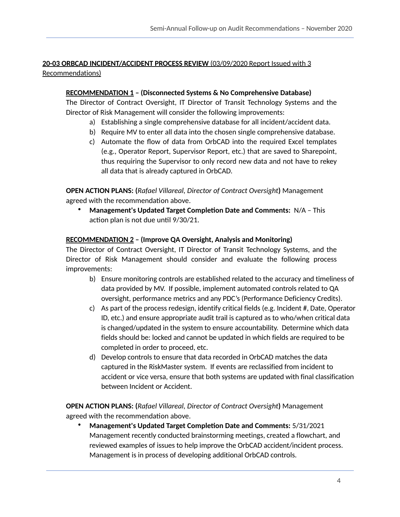#### **20-03 ORBCAD INCIDENT/ACCIDENT PROCESS REVIEW** (03/09/2020 Report Issued with 3 Recommendations)

#### **RECOMMENDATION 1 – (Disconnected Systems & No Comprehensive Database)**

The Director of Contract Oversight, IT Director of Transit Technology Systems and the Director of Risk Management will consider the following improvements:

- a) Establishing a single comprehensive database for all incident/accident data.
- b) Require MV to enter all data into the chosen single comprehensive database.
- c) Automate the flow of data from OrbCAD into the required Excel templates (e.g., Operator Report, Supervisor Report, etc.) that are saved to Sharepoint, thus requiring the Supervisor to only record new data and not have to rekey all data that is already captured in OrbCAD.

**OPEN ACTION PLANS: (***Rafael Villareal, Director of Contract Oversight***)** Management agreed with the recommendation above.

**Management's Updated Target Completion Date and Comments:** N/A - This action plan is not due until 9/30/21.

#### **RECOMMENDATION 2 – (Improve QA Oversight, Analysis and Monitoring)**

The Director of Contract Oversight, IT Director of Transit Technology Systems, and the Director of Risk Management should consider and evaluate the following process improvements:

- b) Ensure monitoring controls are established related to the accuracy and timeliness of data provided by MV. If possible, implement automated controls related to QA oversight, performance metrics and any PDC's (Performance Deficiency Credits).
- c) As part of the process redesign, identify critical fields (e.g. Incident #, Date, Operator ID, etc.) and ensure appropriate audit trail is captured as to who/when critical data is changed/updated in the system to ensure accountability. Determine which data fields should be: locked and cannot be updated in which fields are required to be completed in order to proceed, etc.
- d) Develop controls to ensure that data recorded in OrbCAD matches the data captured in the RiskMaster system. If events are reclassified from incident to accident or vice versa, ensure that both systems are updated with final classification between Incident or Accident.

**OPEN ACTION PLANS: (***Rafael Villareal, Director of Contract Oversight***)** Management agreed with the recommendation above.

• **Management's Updated Target CompleBon Date and Comments:** 5/31/2021 Management recently conducted brainstorming meetings, created a flowchart, and reviewed examples of issues to help improve the OrbCAD accident/incident process. Management is in process of developing additional OrbCAD controls.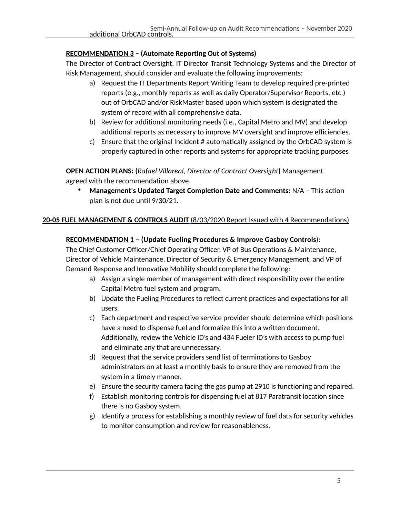#### **RECOMMENDATION 3 – (Automate Reporting Out of Systems)**

The Director of Contract Oversight, IT Director Transit Technology Systems and the Director of Risk Management, should consider and evaluate the following improvements:

- a) Request the IT Departments Report Writing Team to develop required pre-printed reports (e.g., monthly reports as well as daily Operator/Supervisor Reports, etc.) out of OrbCAD and/or RiskMaster based upon which system is designated the system of record with all comprehensive data.
- b) Review for additional monitoring needs (i.e., Capital Metro and MV) and develop additional reports as necessary to improve MV oversight and improve efficiencies.
- c) Ensure that the original Incident  $#$  automatically assigned by the OrbCAD system is properly captured in other reports and systems for appropriate tracking purposes

**OPEN ACTION PLANS: (***Rafael Villareal, Director of Contract Oversight***)** Management agreed with the recommendation above.

**Management's Updated Target Completion Date and Comments: N/A – This action** plan is not due until 9/30/21.

#### **20-05 FUEL MANAGEMENT & CONTROLS AUDIT** (8/03/2020 Report Issued with 4 Recommendations)

#### **RECOMMENDATION 1 – (Update Fueling Procedures & Improve Gasboy Controls**):

The Chief Customer Officer/Chief Operating Officer, VP of Bus Operations & Maintenance, Director of Vehicle Maintenance, Director of Security & Emergency Management, and VP of Demand Response and Innovative Mobility should complete the following:

- a) Assign a single member of management with direct responsibility over the entire Capital Metro fuel system and program.
- b) Update the Fueling Procedures to reflect current practices and expectations for all users.
- c) Each department and respective service provider should determine which positions have a need to dispense fuel and formalize this into a written document. Additionally, review the Vehicle ID's and 434 Fueler ID's with access to pump fuel and eliminate any that are unnecessary.
- d) Request that the service providers send list of terminations to Gasboy administrators on at least a monthly basis to ensure they are removed from the system in a timely manner.
- e) Ensure the security camera facing the gas pump at 2910 is functioning and repaired.
- f) Establish monitoring controls for dispensing fuel at 817 Paratransit location since there is no Gasboy system.
- g) Identify a process for establishing a monthly review of fuel data for security vehicles to monitor consumption and review for reasonableness.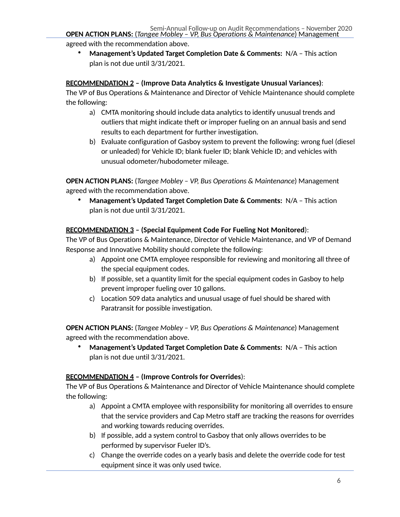agreed with the recommendation above.

• **Management's Updated Target Completion Date & Comments:** N/A – This action plan is not due until 3/31/2021.

#### **RECOMMENDATION 2 – (Improve Data Analytics & Investigate Unusual Variances)**:

The VP of Bus Operations & Maintenance and Director of Vehicle Maintenance should complete the following:

- a) CMTA monitoring should include data analytics to identify unusual trends and outliers that might indicate theft or improper fueling on an annual basis and send results to each department for further investigation.
- b) Evaluate configuration of Gasboy system to prevent the following: wrong fuel (diesel or unleaded) for Vehicle ID; blank fueler ID; blank Vehicle ID; and vehicles with unusual odometer/hubodometer mileage.

**OPEN ACTION PLANS:** (*Tangee Mobley – VP, Bus Operations & Maintenance*) Management agreed with the recommendation above.

• **Management's Updated Target Completion Date & Comments:** N/A – This action plan is not due until 3/31/2021.

#### **RECOMMENDATION 3 – (Special Equipment Code For Fueling Not Monitored**):

The VP of Bus Operations & Maintenance, Director of Vehicle Maintenance, and VP of Demand Response and Innovative Mobility should complete the following:

- a) Appoint one CMTA employee responsible for reviewing and monitoring all three of the special equipment codes.
- b) If possible, set a quantity limit for the special equipment codes in Gasboy to help prevent improper fueling over 10 gallons.
- c) Location 509 data analytics and unusual usage of fuel should be shared with Paratransit for possible investigation.

**OPEN ACTION PLANS:** (*Tangee Mobley – VP, Bus Operations & Maintenance*) Management agreed with the recommendation above.

• **Management's Updated Target Completion Date & Comments:** N/A – This action plan is not due until 3/31/2021.

#### **RECOMMENDATION 4 – (Improve Controls for Overrides**):

The VP of Bus Operations & Maintenance and Director of Vehicle Maintenance should complete the following:

- a) Appoint a CMTA employee with responsibility for monitoring all overrides to ensure that the service providers and Cap Metro staff are tracking the reasons for overrides and working towards reducing overrides.
- b) If possible, add a system control to Gasboy that only allows overrides to be performed by supervisor Fueler ID's.
- c) Change the override codes on a yearly basis and delete the override code for test equipment since it was only used twice.